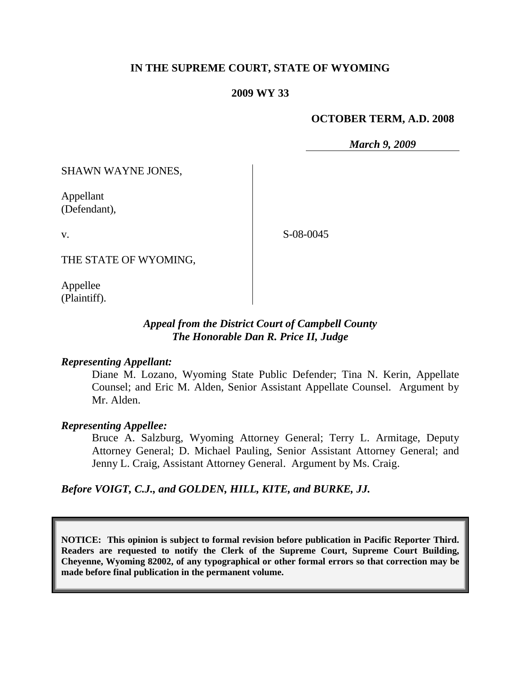## **IN THE SUPREME COURT, STATE OF WYOMING**

#### **2009 WY 33**

#### **OCTOBER TERM, A.D. 2008**

*March 9, 2009*

SHAWN WAYNE JONES,

Appellant (Defendant),

S-08-0045

THE STATE OF WYOMING,

Appellee (Plaintiff).

v.

## *Appeal from the District Court of Campbell County The Honorable Dan R. Price II, Judge*

#### *Representing Appellant:*

Diane M. Lozano, Wyoming State Public Defender; Tina N. Kerin, Appellate Counsel; and Eric M. Alden, Senior Assistant Appellate Counsel. Argument by Mr. Alden.

#### *Representing Appellee:*

Bruce A. Salzburg, Wyoming Attorney General; Terry L. Armitage, Deputy Attorney General; D. Michael Pauling, Senior Assistant Attorney General; and Jenny L. Craig, Assistant Attorney General. Argument by Ms. Craig.

*Before VOIGT, C.J., and GOLDEN, HILL, KITE, and BURKE, JJ.*

**NOTICE: This opinion is subject to formal revision before publication in Pacific Reporter Third. Readers are requested to notify the Clerk of the Supreme Court, Supreme Court Building, Cheyenne, Wyoming 82002, of any typographical or other formal errors so that correction may be made before final publication in the permanent volume.**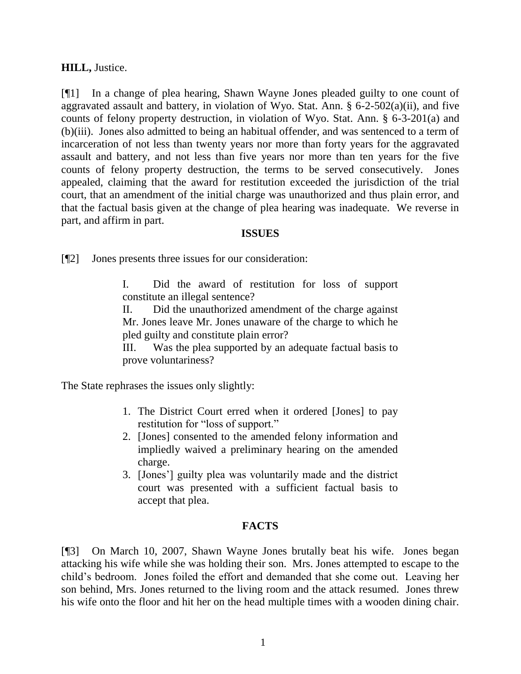## **HILL,** Justice.

[¶1] In a change of plea hearing, Shawn Wayne Jones pleaded guilty to one count of aggravated assault and battery, in violation of Wyo. Stat. Ann.  $\S$  6-2-502(a)(ii), and five counts of felony property destruction, in violation of Wyo. Stat. Ann. § 6-3-201(a) and (b)(iii). Jones also admitted to being an habitual offender, and was sentenced to a term of incarceration of not less than twenty years nor more than forty years for the aggravated assault and battery, and not less than five years nor more than ten years for the five counts of felony property destruction, the terms to be served consecutively. Jones appealed, claiming that the award for restitution exceeded the jurisdiction of the trial court, that an amendment of the initial charge was unauthorized and thus plain error, and that the factual basis given at the change of plea hearing was inadequate. We reverse in part, and affirm in part.

#### **ISSUES**

[¶2] Jones presents three issues for our consideration:

I. Did the award of restitution for loss of support constitute an illegal sentence?

II. Did the unauthorized amendment of the charge against Mr. Jones leave Mr. Jones unaware of the charge to which he pled guilty and constitute plain error?

III. Was the plea supported by an adequate factual basis to prove voluntariness?

The State rephrases the issues only slightly:

- 1. The District Court erred when it ordered [Jones] to pay restitution for "loss of support."
- 2. [Jones] consented to the amended felony information and impliedly waived a preliminary hearing on the amended charge.
- 3. [Jones"] guilty plea was voluntarily made and the district court was presented with a sufficient factual basis to accept that plea.

# **FACTS**

[¶3] On March 10, 2007, Shawn Wayne Jones brutally beat his wife. Jones began attacking his wife while she was holding their son. Mrs. Jones attempted to escape to the child"s bedroom. Jones foiled the effort and demanded that she come out. Leaving her son behind, Mrs. Jones returned to the living room and the attack resumed. Jones threw his wife onto the floor and hit her on the head multiple times with a wooden dining chair.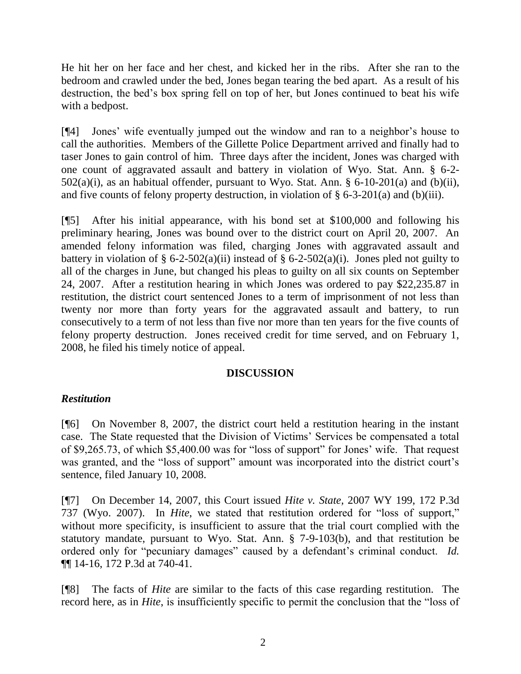He hit her on her face and her chest, and kicked her in the ribs. After she ran to the bedroom and crawled under the bed, Jones began tearing the bed apart. As a result of his destruction, the bed"s box spring fell on top of her, but Jones continued to beat his wife with a bedpost.

[¶4] Jones" wife eventually jumped out the window and ran to a neighbor"s house to call the authorities. Members of the Gillette Police Department arrived and finally had to taser Jones to gain control of him. Three days after the incident, Jones was charged with one count of aggravated assault and battery in violation of Wyo. Stat. Ann. § 6-2-  $502(a)(i)$ , as an habitual offender, pursuant to Wyo. Stat. Ann. § 6-10-201(a) and (b)(ii), and five counts of felony property destruction, in violation of  $\S 6$ -3-201(a) and (b)(iii).

[¶5] After his initial appearance, with his bond set at \$100,000 and following his preliminary hearing, Jones was bound over to the district court on April 20, 2007. An amended felony information was filed, charging Jones with aggravated assault and battery in violation of  $\S 6$ -2-502(a)(ii) instead of  $\S 6$ -2-502(a)(i). Jones pled not guilty to all of the charges in June, but changed his pleas to guilty on all six counts on September 24, 2007. After a restitution hearing in which Jones was ordered to pay \$22,235.87 in restitution, the district court sentenced Jones to a term of imprisonment of not less than twenty nor more than forty years for the aggravated assault and battery, to run consecutively to a term of not less than five nor more than ten years for the five counts of felony property destruction. Jones received credit for time served, and on February 1, 2008, he filed his timely notice of appeal.

## **DISCUSSION**

## *Restitution*

[¶6] On November 8, 2007, the district court held a restitution hearing in the instant case. The State requested that the Division of Victims" Services be compensated a total of \$9,265.73, of which \$5,400.00 was for "loss of support" for Jones' wife. That request was granted, and the "loss of support" amount was incorporated into the district court's sentence, filed January 10, 2008.

[¶7] On December 14, 2007, this Court issued *Hite v. State,* 2007 WY 199, 172 P.3d 737 (Wyo. 2007). In *Hite*, we stated that restitution ordered for "loss of support," without more specificity, is insufficient to assure that the trial court complied with the statutory mandate, pursuant to Wyo. Stat. Ann. § 7-9-103(b), and that restitution be ordered only for "pecuniary damages" caused by a defendant's criminal conduct. *Id.* ¶¶ 14-16, 172 P.3d at 740-41.

[¶8] The facts of *Hite* are similar to the facts of this case regarding restitution. The record here, as in *Hite*, is insufficiently specific to permit the conclusion that the "loss of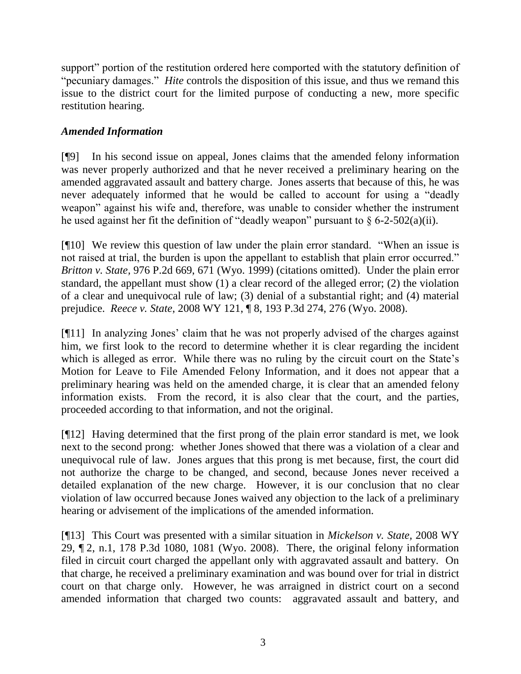support" portion of the restitution ordered here comported with the statutory definition of "pecuniary damages." *Hite* controls the disposition of this issue, and thus we remand this issue to the district court for the limited purpose of conducting a new, more specific restitution hearing.

# *Amended Information*

[¶9] In his second issue on appeal, Jones claims that the amended felony information was never properly authorized and that he never received a preliminary hearing on the amended aggravated assault and battery charge. Jones asserts that because of this, he was never adequately informed that he would be called to account for using a "deadly weapon" against his wife and, therefore, was unable to consider whether the instrument he used against her fit the definition of "deadly weapon" pursuant to  $\S 6$ -2-502(a)(ii).

[¶10] We review this question of law under the plain error standard. "When an issue is not raised at trial, the burden is upon the appellant to establish that plain error occurred." *Britton v. State,* 976 P.2d 669, 671 (Wyo. 1999) (citations omitted). Under the plain error standard, the appellant must show (1) a clear record of the alleged error; (2) the violation of a clear and unequivocal rule of law; (3) denial of a substantial right; and (4) material prejudice. *Reece v. State*, 2008 WY 121, ¶ 8, 193 P.3d 274, 276 (Wyo. 2008).

[¶11] In analyzing Jones" claim that he was not properly advised of the charges against him, we first look to the record to determine whether it is clear regarding the incident which is alleged as error. While there was no ruling by the circuit court on the State's Motion for Leave to File Amended Felony Information, and it does not appear that a preliminary hearing was held on the amended charge, it is clear that an amended felony information exists. From the record, it is also clear that the court, and the parties, proceeded according to that information, and not the original.

[¶12] Having determined that the first prong of the plain error standard is met, we look next to the second prong: whether Jones showed that there was a violation of a clear and unequivocal rule of law. Jones argues that this prong is met because, first, the court did not authorize the charge to be changed, and second, because Jones never received a detailed explanation of the new charge. However, it is our conclusion that no clear violation of law occurred because Jones waived any objection to the lack of a preliminary hearing or advisement of the implications of the amended information.

[¶13] This Court was presented with a similar situation in *Mickelson v. State,* 2008 WY 29, ¶ 2, n.1, 178 P.3d 1080, 1081 (Wyo. 2008). There, the original felony information filed in circuit court charged the appellant only with aggravated assault and battery. On that charge, he received a preliminary examination and was bound over for trial in district court on that charge only. However, he was arraigned in district court on a second amended information that charged two counts: aggravated assault and battery, and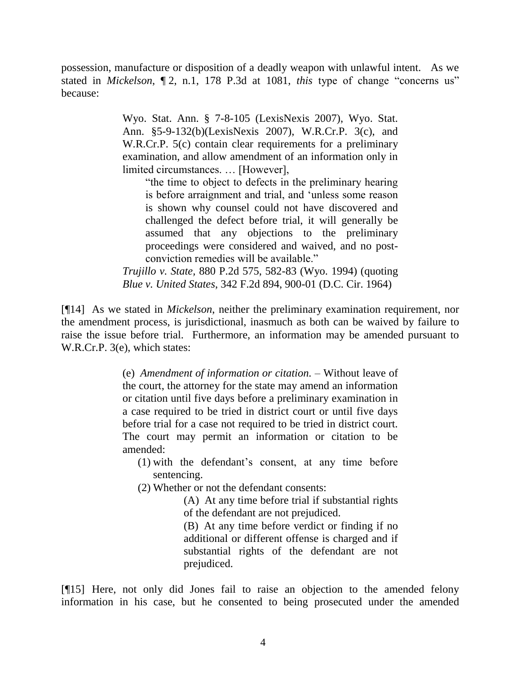possession, manufacture or disposition of a deadly weapon with unlawful intent. As we stated in *Mickelson*, ¶ 2, n.1, 178 P.3d at 1081, *this* type of change "concerns us" because:

> Wyo. Stat. Ann. § 7-8-105 (LexisNexis 2007), Wyo. Stat. Ann. §5-9-132(b)(LexisNexis 2007), W.R.Cr.P. 3(c), and W.R.Cr.P. 5(c) contain clear requirements for a preliminary examination, and allow amendment of an information only in limited circumstances. … [However],

"the time to object to defects in the preliminary hearing is before arraignment and trial, and "unless some reason is shown why counsel could not have discovered and challenged the defect before trial, it will generally be assumed that any objections to the preliminary proceedings were considered and waived, and no postconviction remedies will be available."

*Trujillo v. State,* 880 P.2d 575, 582-83 (Wyo. 1994) (quoting *Blue v. United States*, 342 F.2d 894, 900-01 (D.C. Cir. 1964)

[¶14] As we stated in *Mickelson*, neither the preliminary examination requirement, nor the amendment process, is jurisdictional, inasmuch as both can be waived by failure to raise the issue before trial. Furthermore, an information may be amended pursuant to W.R.Cr.P. 3(e), which states:

> (e) *Amendment of information or citation. –* Without leave of the court, the attorney for the state may amend an information or citation until five days before a preliminary examination in a case required to be tried in district court or until five days before trial for a case not required to be tried in district court. The court may permit an information or citation to be amended:

- (1) with the defendant"s consent, at any time before sentencing.
- (2) Whether or not the defendant consents:

(A) At any time before trial if substantial rights of the defendant are not prejudiced.

(B) At any time before verdict or finding if no additional or different offense is charged and if substantial rights of the defendant are not prejudiced.

[¶15] Here, not only did Jones fail to raise an objection to the amended felony information in his case, but he consented to being prosecuted under the amended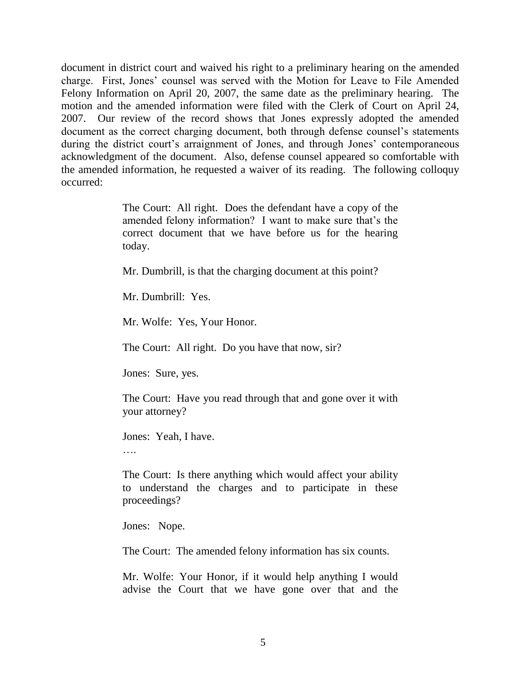document in district court and waived his right to a preliminary hearing on the amended charge. First, Jones" counsel was served with the Motion for Leave to File Amended Felony Information on April 20, 2007, the same date as the preliminary hearing. The motion and the amended information were filed with the Clerk of Court on April 24, 2007. Our review of the record shows that Jones expressly adopted the amended document as the correct charging document, both through defense counsel's statements during the district court's arraignment of Jones, and through Jones' contemporaneous acknowledgment of the document. Also, defense counsel appeared so comfortable with the amended information, he requested a waiver of its reading. The following colloquy occurred:

> The Court: All right. Does the defendant have a copy of the amended felony information? I want to make sure that's the correct document that we have before us for the hearing today.

Mr. Dumbrill, is that the charging document at this point?

Mr. Dumbrill: Yes.

Mr. Wolfe: Yes, Your Honor.

The Court: All right. Do you have that now, sir?

Jones: Sure, yes.

The Court: Have you read through that and gone over it with your attorney?

Jones: Yeah, I have.

….

The Court: Is there anything which would affect your ability to understand the charges and to participate in these proceedings?

Jones: Nope.

The Court: The amended felony information has six counts.

Mr. Wolfe: Your Honor, if it would help anything I would advise the Court that we have gone over that and the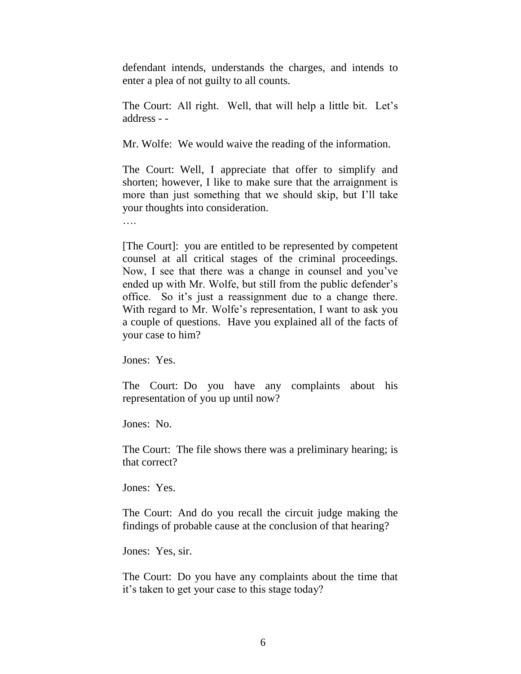defendant intends, understands the charges, and intends to enter a plea of not guilty to all counts.

The Court: All right. Well, that will help a little bit. Let's address - -

Mr. Wolfe: We would waive the reading of the information.

The Court: Well, I appreciate that offer to simplify and shorten; however, I like to make sure that the arraignment is more than just something that we should skip, but I"ll take your thoughts into consideration.

….

[The Court]: you are entitled to be represented by competent counsel at all critical stages of the criminal proceedings. Now, I see that there was a change in counsel and you"ve ended up with Mr. Wolfe, but still from the public defender's office. So it"s just a reassignment due to a change there. With regard to Mr. Wolfe's representation, I want to ask you a couple of questions. Have you explained all of the facts of your case to him?

Jones: Yes.

The Court: Do you have any complaints about his representation of you up until now?

Jones: No.

The Court: The file shows there was a preliminary hearing; is that correct?

Jones: Yes.

The Court: And do you recall the circuit judge making the findings of probable cause at the conclusion of that hearing?

Jones: Yes, sir.

The Court: Do you have any complaints about the time that it"s taken to get your case to this stage today?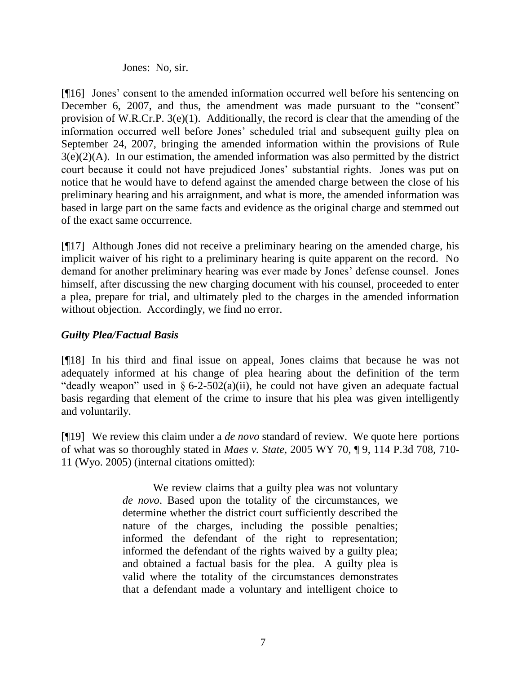### Jones: No, sir.

[¶16] Jones' consent to the amended information occurred well before his sentencing on December 6, 2007, and thus, the amendment was made pursuant to the "consent" provision of W.R.Cr.P. 3(e)(1). Additionally, the record is clear that the amending of the information occurred well before Jones" scheduled trial and subsequent guilty plea on September 24, 2007, bringing the amended information within the provisions of Rule  $3(e)(2)(A)$ . In our estimation, the amended information was also permitted by the district court because it could not have prejudiced Jones" substantial rights. Jones was put on notice that he would have to defend against the amended charge between the close of his preliminary hearing and his arraignment, and what is more, the amended information was based in large part on the same facts and evidence as the original charge and stemmed out of the exact same occurrence.

[¶17] Although Jones did not receive a preliminary hearing on the amended charge, his implicit waiver of his right to a preliminary hearing is quite apparent on the record. No demand for another preliminary hearing was ever made by Jones" defense counsel. Jones himself, after discussing the new charging document with his counsel, proceeded to enter a plea, prepare for trial, and ultimately pled to the charges in the amended information without objection. Accordingly, we find no error.

# *Guilty Plea/Factual Basis*

[¶18] In his third and final issue on appeal, Jones claims that because he was not adequately informed at his change of plea hearing about the definition of the term "deadly weapon" used in  $\S 6$ -2-502(a)(ii), he could not have given an adequate factual basis regarding that element of the crime to insure that his plea was given intelligently and voluntarily.

[¶19] We review this claim under a *de novo* standard of review. We quote here portions of what was so thoroughly stated in *Maes v. State,* 2005 WY 70, ¶ 9, 114 P.3d 708, 710- 11 (Wyo. 2005) (internal citations omitted):

> We review claims that a guilty plea was not voluntary *de novo*. Based upon the totality of the circumstances, we determine whether the district court sufficiently described the nature of the charges, including the possible penalties; informed the defendant of the right to representation; informed the defendant of the rights waived by a guilty plea; and obtained a factual basis for the plea. A guilty plea is valid where the totality of the circumstances demonstrates that a defendant made a voluntary and intelligent choice to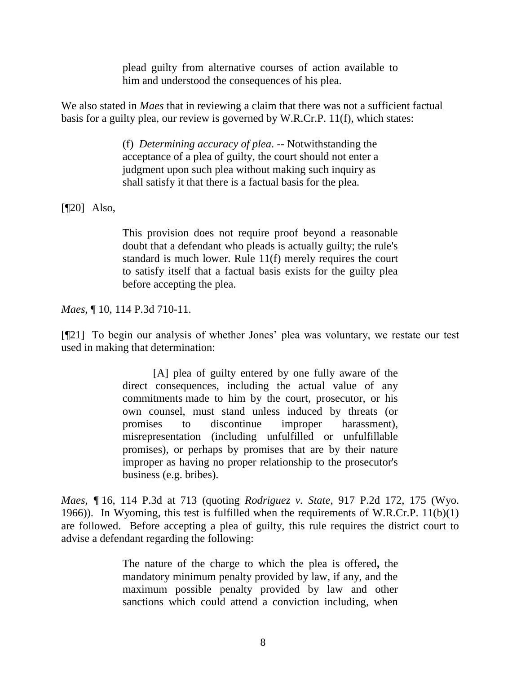plead guilty from alternative courses of action available to him and understood the consequences of his plea.

We also stated in *Maes* that in reviewing a claim that there was not a sufficient factual basis for a guilty plea, our review is governed by W.R.Cr.P. 11(f), which states:

> (f) *Determining accuracy of plea*. -- Notwithstanding the acceptance of a plea of guilty, the court should not enter a judgment upon such plea without making such inquiry as shall satisfy it that there is a factual basis for the plea.

[¶20] Also,

This provision does not require proof beyond a reasonable doubt that a defendant who pleads is actually guilty; the rule's standard is much lower. Rule 11(f) merely requires the court to satisfy itself that a factual basis exists for the guilty plea before accepting the plea.

*Maes,* ¶ 10, 114 P.3d 710-11.

[¶21] To begin our analysis of whether Jones" plea was voluntary, we restate our test used in making that determination:

> [A] plea of guilty entered by one fully aware of the direct consequences, including the actual value of any commitments made to him by the court, prosecutor, or his own counsel, must stand unless induced by threats (or promises to discontinue improper harassment), misrepresentation (including unfulfilled or unfulfillable promises), or perhaps by promises that are by their nature improper as having no proper relationship to the prosecutor's business (e.g. bribes).

*Maes, ¶* 16, 114 P.3d at 713 (quoting *Rodriguez v. State*, 917 P.2d 172, 175 (Wyo. 1966)). In Wyoming, this test is fulfilled when the requirements of W.R.Cr.P. 11(b)(1) are followed. Before accepting a plea of guilty, this rule requires the district court to advise a defendant regarding the following:

> The nature of the charge to which the plea is offered**,** the mandatory minimum penalty provided by law, if any, and the maximum possible penalty provided by law and other sanctions which could attend a conviction including, when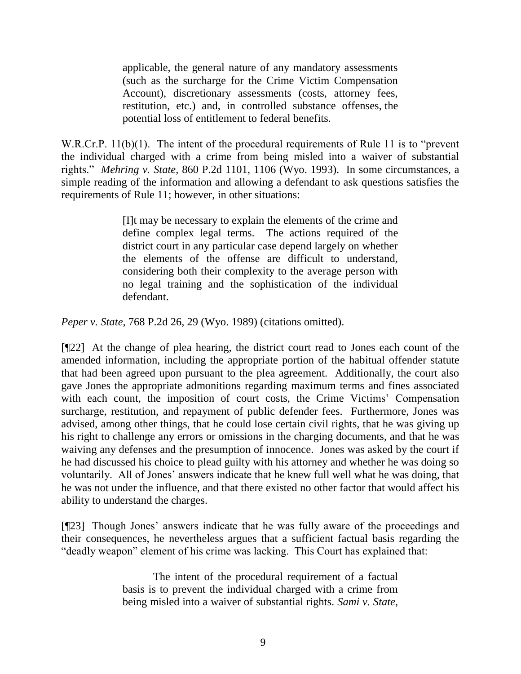applicable, the general nature of any mandatory assessments (such as the surcharge for the Crime Victim Compensation Account), discretionary assessments (costs, attorney fees, restitution, etc.) and, in controlled substance offenses, the potential loss of entitlement to federal benefits.

W.R.Cr.P. 11(b)(1). The intent of the procedural requirements of Rule 11 is to "prevent" the individual charged with a crime from being misled into a waiver of substantial rights." *Mehring v. State,* 860 P.2d 1101, 1106 (Wyo. 1993). In some circumstances, a simple reading of the information and allowing a defendant to ask questions satisfies the requirements of Rule 11; however, in other situations:

> [I]t may be necessary to explain the elements of the crime and define complex legal terms. The actions required of the district court in any particular case depend largely on whether the elements of the offense are difficult to understand, considering both their complexity to the average person with no legal training and the sophistication of the individual defendant.

*Peper v. State,* 768 P.2d 26, 29 (Wyo. 1989) (citations omitted).

[¶22] At the change of plea hearing, the district court read to Jones each count of the amended information, including the appropriate portion of the habitual offender statute that had been agreed upon pursuant to the plea agreement. Additionally, the court also gave Jones the appropriate admonitions regarding maximum terms and fines associated with each count, the imposition of court costs, the Crime Victims' Compensation surcharge, restitution, and repayment of public defender fees. Furthermore, Jones was advised, among other things, that he could lose certain civil rights, that he was giving up his right to challenge any errors or omissions in the charging documents, and that he was waiving any defenses and the presumption of innocence. Jones was asked by the court if he had discussed his choice to plead guilty with his attorney and whether he was doing so voluntarily. All of Jones" answers indicate that he knew full well what he was doing, that he was not under the influence, and that there existed no other factor that would affect his ability to understand the charges.

[¶23] Though Jones" answers indicate that he was fully aware of the proceedings and their consequences, he nevertheless argues that a sufficient factual basis regarding the "deadly weapon" element of his crime was lacking. This Court has explained that:

> The intent of the procedural requirement of a factual basis is to prevent the individual charged with a crime from being misled into a waiver of substantial rights. *Sami v. State*,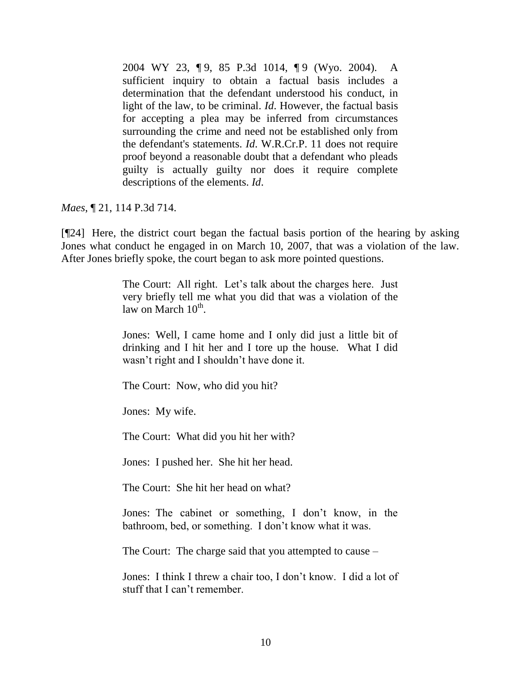2004 WY 23, ¶ 9, 85 P.3d 1014, ¶ 9 (Wyo. 2004). A sufficient inquiry to obtain a factual basis includes a determination that the defendant understood his conduct, in light of the law, to be criminal. *Id*. However, the factual basis for accepting a plea may be inferred from circumstances surrounding the crime and need not be established only from the defendant's statements. *Id*. W.R.Cr.P. 11 does not require proof beyond a reasonable doubt that a defendant who pleads guilty is actually guilty nor does it require complete descriptions of the elements. *Id*.

*Maes*, ¶ 21, 114 P.3d 714.

[¶24] Here, the district court began the factual basis portion of the hearing by asking Jones what conduct he engaged in on March 10, 2007, that was a violation of the law. After Jones briefly spoke, the court began to ask more pointed questions.

> The Court: All right. Let's talk about the charges here. Just very briefly tell me what you did that was a violation of the law on March  $10^{\text{th}}$ .

> Jones: Well, I came home and I only did just a little bit of drinking and I hit her and I tore up the house. What I did wasn"t right and I shouldn"t have done it.

The Court: Now, who did you hit?

Jones: My wife.

The Court: What did you hit her with?

Jones: I pushed her. She hit her head.

The Court: She hit her head on what?

Jones: The cabinet or something, I don"t know, in the bathroom, bed, or something. I don"t know what it was.

The Court: The charge said that you attempted to cause –

Jones: I think I threw a chair too, I don"t know. I did a lot of stuff that I can"t remember.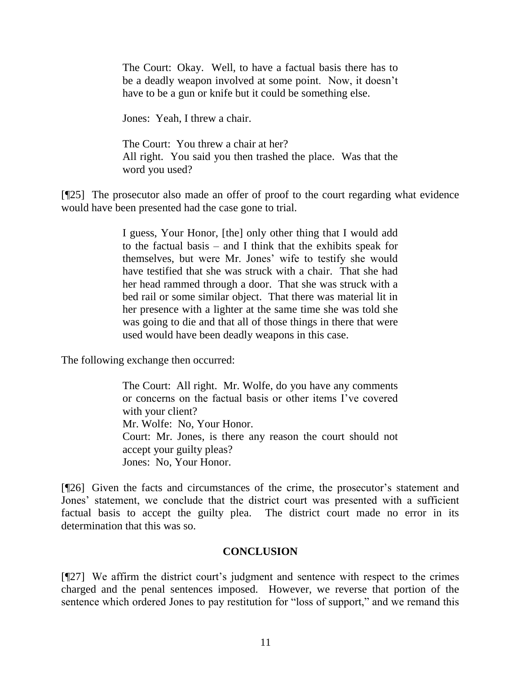The Court: Okay. Well, to have a factual basis there has to be a deadly weapon involved at some point. Now, it doesn't have to be a gun or knife but it could be something else.

Jones: Yeah, I threw a chair.

The Court: You threw a chair at her? All right. You said you then trashed the place. Was that the word you used?

[¶25] The prosecutor also made an offer of proof to the court regarding what evidence would have been presented had the case gone to trial.

> I guess, Your Honor, [the] only other thing that I would add to the factual basis – and I think that the exhibits speak for themselves, but were Mr. Jones" wife to testify she would have testified that she was struck with a chair. That she had her head rammed through a door. That she was struck with a bed rail or some similar object. That there was material lit in her presence with a lighter at the same time she was told she was going to die and that all of those things in there that were used would have been deadly weapons in this case.

The following exchange then occurred:

The Court: All right. Mr. Wolfe, do you have any comments or concerns on the factual basis or other items I"ve covered with your client? Mr. Wolfe: No, Your Honor. Court: Mr. Jones, is there any reason the court should not accept your guilty pleas? Jones: No, Your Honor.

[¶26] Given the facts and circumstances of the crime, the prosecutor's statement and Jones" statement, we conclude that the district court was presented with a sufficient factual basis to accept the guilty plea. The district court made no error in its determination that this was so.

## **CONCLUSION**

[¶27] We affirm the district court"s judgment and sentence with respect to the crimes charged and the penal sentences imposed. However, we reverse that portion of the sentence which ordered Jones to pay restitution for "loss of support," and we remand this